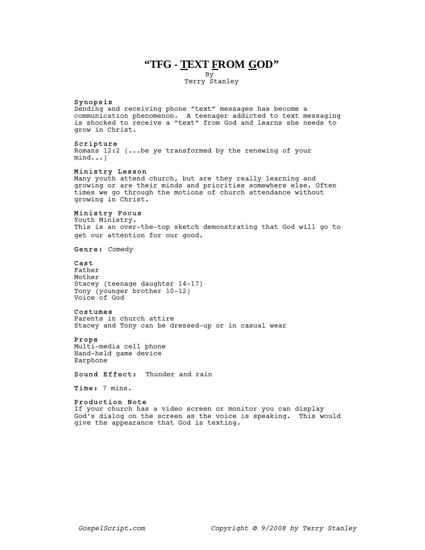# **"TFG - TEXT FROM GOD"**

By

Terry Stanley

### Synopsis

Sending and receiving phone "text" messages has become a communication phenomenon. A teenager addicted to text messaging is shocked to receive a "text" from God and learns she needs to grow in Christ.

### Scripture

Romans 12:2 (...be ye transformed by the renewing of your mind...)

#### Ministry Lesson

Many youth attend church, but are they really learning and growing or are their minds and priorities somewhere else. Often times we go through the motions of church attendance without growing in Christ.

# Ministry Focus

Youth Ministry. This is an over-the-top sketch demonstrating that God will go to get our attention for our good.

Genre: Comedy

# Cast

Father Mother Stacey (teenage daughter 14-17) Tony (younger brother 10-12) Voice of God

### Costumes

Parents in church attire Stacey and Tony can be dressed-up or in casual wear

### Props

Multi-media cell phone Hand-held game device Earphone

Sound Effect: Thunder and rain

Time: 7 mins.

#### Production Note

If your church has a video screen or monitor you can display God's dialog on the screen as the voice is speaking. This would give the appearance that God is texting.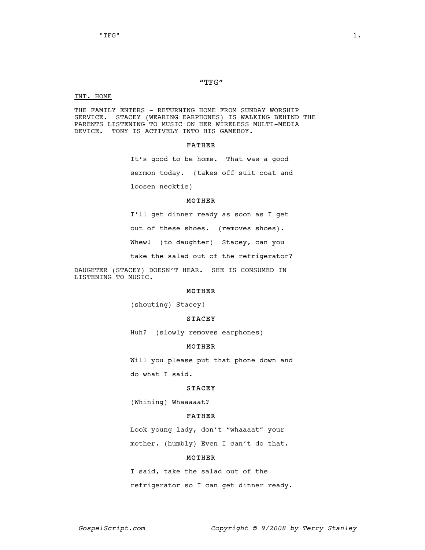#### "TFG"

#### INT. HOME

THE FAMILY ENTERS - RETURNING HOME FROM SUNDAY WORSHIP SERVICE. STACEY (WEARING EARPHONES) IS WALKING BEHIND THE PARENTS LISTENING TO MUSIC ON HER WIRELESS MULTI-MEDIA DEVICE. TONY IS ACTIVELY INTO HIS GAMEBOY.

### FATHER

It's good to be home. That was a good sermon today. (takes off suit coat and loosen necktie)

### MOTHER

I'll get dinner ready as soon as I get out of these shoes. (removes shoes). Whew! (to daughter) Stacey, can you take the salad out of the refrigerator?

DAUGHTER (STACEY) DOESN'T HEAR. SHE IS CONSUMED IN LISTENING TO MUSIC.

### MOTHER

(shouting) Stacey!

### STACEY

Huh? (slowly removes earphones)

#### MOTHER

Will you please put that phone down and do what I said.

### STACEY

(Whining) Whaaaaat?

### FATHER

Look young lady, don't "whaaaat" your mother. (humbly) Even I can't do that.

### MOTHER

I said, take the salad out of the refrigerator so I can get dinner ready.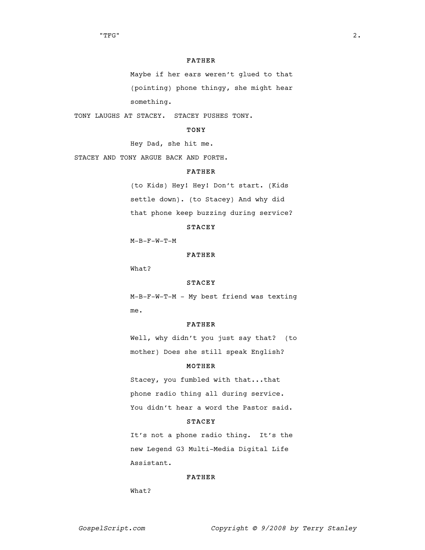#### FATHER

Maybe if her ears weren't glued to that (pointing) phone thingy, she might hear something.

TONY LAUGHS AT STACEY. STACEY PUSHES TONY.

# TONY

Hey Dad, she hit me.

STACEY AND TONY ARGUE BACK AND FORTH.

# FATHER

(to Kids) Hey! Hey! Don't start. (Kids settle down). (to Stacey) And why did that phone keep buzzing during service?

### STACEY

M-B-F-W-T-M

### FATHER

What?

### STACEY

M-B-F-W-T-M - My best friend was texting me.

#### FATHER

Well, why didn't you just say that? (to mother) Does she still speak English?

### MOTHER

Stacey, you fumbled with that...that phone radio thing all during service. You didn't hear a word the Pastor said.

### STACEY

It's not a phone radio thing. It's the new Legend G3 Multi-Media Digital Life Assistant.

### FATHER

What?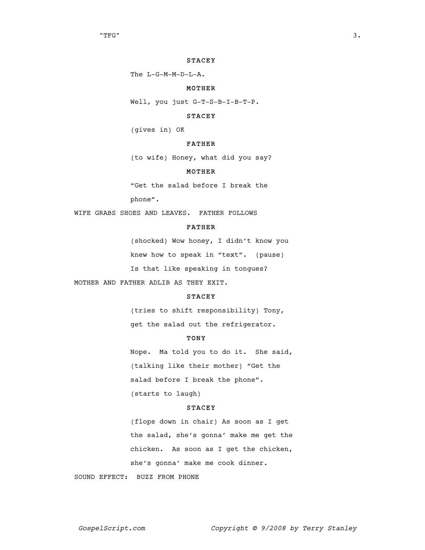#### STACEY

The L-G-M-M-D-L-A.

### MOTHER

Well, you just G-T-S-B-I-B-T-P.

### STACEY

(gives in) OK

# FATHER

(to wife) Honey, what did you say?

### MOTHER

"Get the salad before I break the phone".

WIFE GRABS SHOES AND LEAVES. FATHER FOLLOWS

### FATHER

(shocked) Wow honey, I didn't know you knew how to speak in "text". (pause) Is that like speaking in tongues?

MOTHER AND FATHER ADLIB AS THEY EXIT.

# STACEY

(tries to shift responsibility) Tony, get the salad out the refrigerator.

### **TONY**

Nope. Ma told you to do it. She said, (talking like their mother) "Get the salad before I break the phone". (starts to laugh)

### STACEY

(flops down in chair) As soon as I get the salad, she's gonna' make me get the chicken. As soon as I get the chicken, she's gonna' make me cook dinner.

SOUND EFFECT: BUZZ FROM PHONE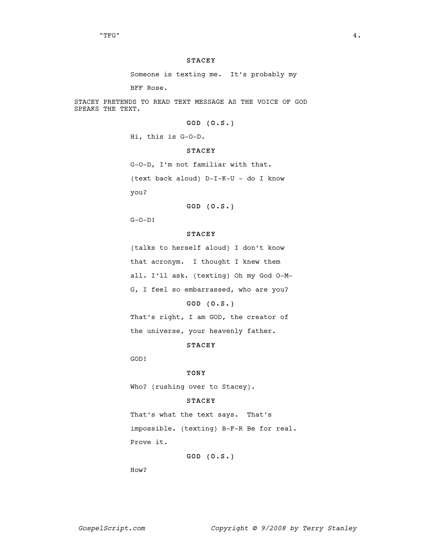#### STACEY

Someone is texting me. It's probably my

BFF Rose.

STACEY PRETENDS TO READ TEXT MESSAGE AS THE VOICE OF GOD SPEAKS THE TEXT.

# GOD (O.S.)

Hi, this is G-O-D.

#### STACEY

G-O-D, I'm not familiar with that. (text back aloud) D-I-K-U - do I know you?

# GOD (O.S.)

G-O-D!

### STACEY

(talks to herself aloud) I don't know that acronym. I thought I knew them all. I'll ask. (texting) Oh my God O-M-G, I feel so embarrassed, who are you?

### GOD (O.S.)

That's right, I am GOD, the creator of the universe, your heavenly father.

### STACEY

GOD!

#### TONY

Who? (rushing over to Stacey).

### STACEY

That's what the text says. That's impossible. (texting) B-F-R Be for real. Prove it.

# GOD (O.S.)

How?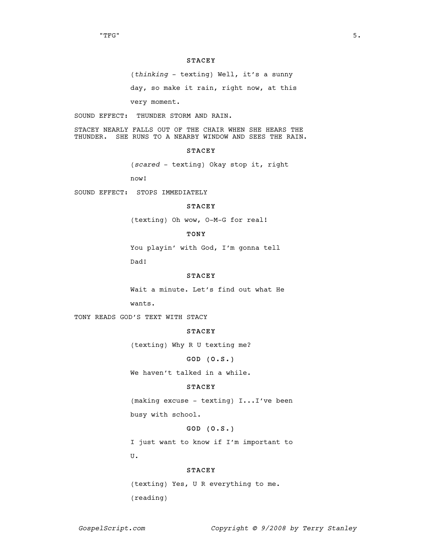#### STACEY

(thinking - texting) Well, it's a sunny

day, so make it rain, right now, at this

very moment.

SOUND EFFECT: THUNDER STORM AND RAIN.

STACEY NEARLY FALLS OUT OF THE CHAIR WHEN SHE HEARS THE THUNDER. SHE RUNS TO A NEARBY WINDOW AND SEES THE RAIN.

### STACEY

(scared - texting) Okay stop it, right

now!

SOUND EFFECT: STOPS IMMEDIATELY

### **STACEY**

(texting) Oh wow, O-M-G for real!

# TONY

You playin' with God, I'm gonna tell

Dad!

### STACEY

Wait a minute. Let's find out what He

wants.

TONY READS GOD'S TEXT WITH STACY

### STACEY

(texting) Why R U texting me?

### GOD (O.S.)

We haven't talked in a while.

#### STACEY

(making excuse - texting) I...I've been busy with school.

# GOD (O.S.)

I just want to know if I'm important to U.

### STACEY

(texting) Yes, U R everything to me. (reading)